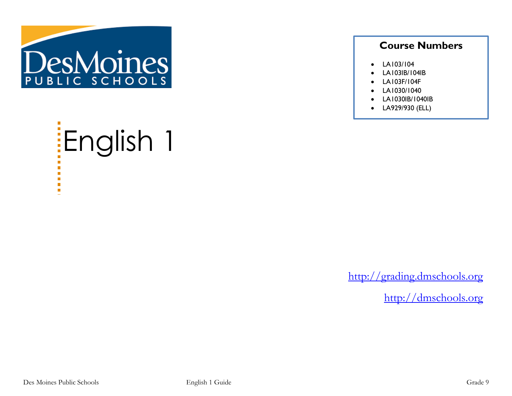

# English 1

## **Course Numbers**

- LA103/104
- LA103IB/104IB
- LA103F/104F
- LA1030/1040
- LA1030IB/1040IB
- LA929/930 (ELL)

[http://grading.dmschools.org](http://grading.dmschools.org/)

[http://dmschools.org](http://dmschools.org/)

 $\blacksquare$  $\blacksquare$  $\mathcal{L}_{\mathcal{A}}$  $\blacksquare$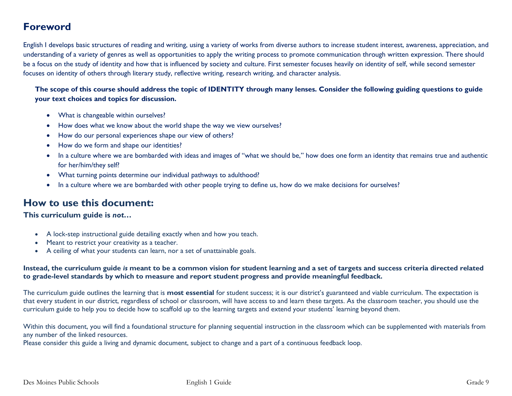# **Foreword**

English I develops basic structures of reading and writing, using a variety of works from diverse authors to increase student interest, awareness, appreciation, and understanding of a variety of genres as well as opportunities to apply the writing process to promote communication through written expression. There should be a focus on the study of identity and how that is influenced by society and culture. First semester focuses heavily on identity of self, while second semester focuses on identity of others through literary study, reflective writing, research writing, and character analysis.

**The scope of this course should address the topic of IDENTITY through many lenses. Consider the following guiding questions to guide your text choices and topics for discussion.**

- What is changeable within ourselves?
- How does what we know about the world shape the way we view ourselves?
- How do our personal experiences shape our view of others?
- How do we form and shape our identities?
- In a culture where we are bombarded with ideas and images of "what we should be," how does one form an identity that remains true and authentic for her/him/they self?
- What turning points determine our individual pathways to adulthood?
- In a culture where we are bombarded with other people trying to define us, how do we make decisions for ourselves?

### **How to use this document:**

**This curriculum guide is** *not…*

- A lock-step instructional guide detailing exactly when and how you teach.
- Meant to restrict your creativity as a teacher.
- A ceiling of what your students can learn, nor a set of unattainable goals.

#### **Instead, the curriculum guide** *is* **meant to be a common vision for student learning and a set of targets and success criteria directed related to grade-level standards by which to measure and report student progress and provide meaningful feedback.**

The curriculum guide outlines the learning that is **most essential** for student success; it is our district's guaranteed and viable curriculum. The expectation is that every student in our district, regardless of school or classroom, will have access to and learn these targets. As the classroom teacher, you should use the curriculum guide to help you to decide how to scaffold up to the learning targets and extend your students' learning beyond them.

Within this document, you will find a foundational structure for planning sequential instruction in the classroom which can be supplemented with materials from any number of the linked resources.

Please consider this guide a living and dynamic document, subject to change and a part of a continuous feedback loop.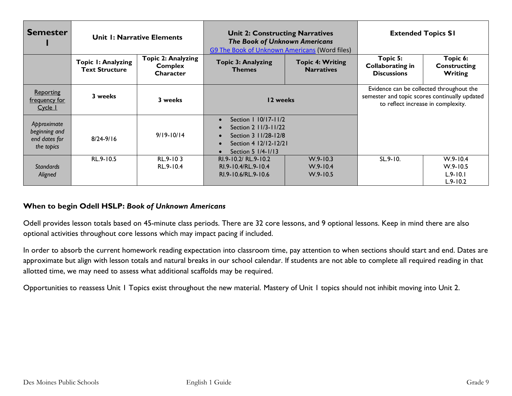| <b>Semester</b>                                             | Unit 1: Narrative Elements                  |                                                          | <b>Unit 2: Constructing Narratives</b><br><b>The Book of Unknown Americans</b><br>G9 The Book of Unknown Americans (Word files)                                                      |                                              | <b>Extended Topics SI</b>                                                                                                       |                                                              |
|-------------------------------------------------------------|---------------------------------------------|----------------------------------------------------------|--------------------------------------------------------------------------------------------------------------------------------------------------------------------------------------|----------------------------------------------|---------------------------------------------------------------------------------------------------------------------------------|--------------------------------------------------------------|
|                                                             | Topic I: Analyzing<br><b>Text Structure</b> | <b>Topic 2: Analyzing</b><br><b>Complex</b><br>Character | <b>Topic 3: Analyzing</b><br><b>Themes</b>                                                                                                                                           | <b>Topic 4: Writing</b><br><b>Narratives</b> | Topic 5:<br>Collaborating in<br><b>Discussions</b>                                                                              | Topic 6:<br><b>Constructing</b><br>Writing                   |
| <b>Reporting</b><br>frequency for<br>Cycle 1                | 3 weeks                                     | 3 weeks                                                  | 12 weeks                                                                                                                                                                             |                                              | Evidence can be collected throughout the<br>semester and topic scores continually updated<br>to reflect increase in complexity. |                                                              |
| Approximate<br>beginning and<br>end dates for<br>the topics | $8/24 - 9/16$                               | $9/19 - 10/14$                                           | Section 1 10/17-11/2<br>$\bullet$<br>Section 2 11/3-11/22<br>$\bullet$<br>Section 3 11/28-12/8<br>$\bullet$<br>Section 4 12/12-12/21<br>$\bullet$<br>Section 5 1/4-1/13<br>$\bullet$ |                                              |                                                                                                                                 |                                                              |
| <b>Standards</b><br>Aligned                                 | RL.9-10.5                                   | RL.9-103<br>RL.9-10.4                                    | RI.9-10.2/ RL.9-10.2<br>RI.9-10.4/RL.9-10.4<br>RI.9-10.6/RL.9-10.6                                                                                                                   | $W.9 - 10.3$<br>$W.9 - 10.4$<br>$W.9 - 10.5$ | SL.9-10.                                                                                                                        | $W.9 - 10.4$<br>$W.9 - 10.5$<br>$L.9 - 10.1$<br>$L.9 - 10.2$ |

#### **When to begin Odell HSLP:** *Book of Unknown Americans*

Odell provides lesson totals based on 45-minute class periods. There are 32 core lessons, and 9 optional lessons. Keep in mind there are also optional activities throughout core lessons which may impact pacing if included.

In order to absorb the current homework reading expectation into classroom time, pay attention to when sections should start and end. Dates are approximate but align with lesson totals and natural breaks in our school calendar. If students are not able to complete all required reading in that allotted time, we may need to assess what additional scaffolds may be required.

Opportunities to reassess Unit 1 Topics exist throughout the new material. Mastery of Unit 1 topics should not inhibit moving into Unit 2.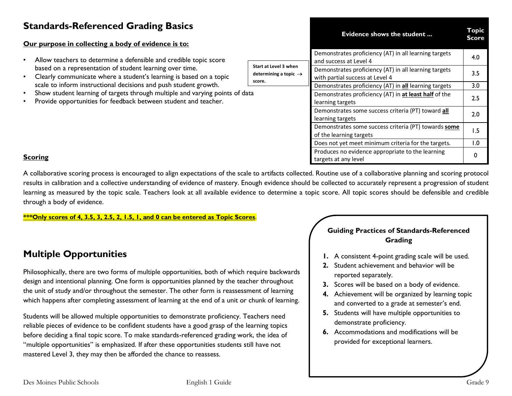# **Standards-Referenced Grading Basics**

#### **Our purpose in collecting a body of evidence is to:**

- Allow teachers to determine a defensible and credible topic score based on a representation of student learning over time.
- Clearly communicate where a student's learning is based on a topic scale to inform instructional decisions and push student growth.
- Show student learning of targets through multiple and varying points of data
- Provide opportunities for feedback between student and teacher.

|                                                                      | <b>Evidence shows the student</b>                                                        | <b>Topic</b><br><b>Score</b> |
|----------------------------------------------------------------------|------------------------------------------------------------------------------------------|------------------------------|
|                                                                      | Demonstrates proficiency (AT) in all learning targets<br>and success at Level 4          | 4.0                          |
| Start at Level 3 when<br>determining a topic $\rightarrow$<br>score. | Demonstrates proficiency (AT) in all learning targets<br>with partial success at Level 4 | 3.5                          |
|                                                                      | Demonstrates proficiency (AT) in all learning targets                                    | 3.0                          |
|                                                                      | Demonstrates proficiency (AT) in at least half of the<br>learning targets                | 2.5                          |
|                                                                      | Demonstrates some success criteria (PT) toward all<br>learning targets                   | 2.0                          |
|                                                                      | Demonstrates some success criteria (PT) towards some<br>of the learning targets          | 1.5                          |
|                                                                      | Does not yet meet minimum criteria for the targets.                                      | 1.0                          |
|                                                                      | Produces no evidence appropriate to the learning<br>targets at any level                 |                              |

#### **Scoring**

A collaborative scoring process is encouraged to align expectations of the scale to artifacts collected. Routine use of a collaborative planning and scoring protocol results in calibration and a collective understanding of evidence of mastery. Enough evidence should be collected to accurately represent a progression of student learning as measured by the topic scale. Teachers look at all available evidence to determine a topic score. All topic scores should be defensible and credible through a body of evidence.

**\*\*\*Only scores of 4, 3.5, 3, 2.5, 2, 1.5, 1, and 0 can be entered as Topic Scores**.

# **Multiple Opportunities**

Philosophically, there are two forms of multiple opportunities, both of which require backwards design and intentional planning. One form is opportunities planned by the teacher throughout the unit of study and/or throughout the semester. The other form is reassessment of learning which happens after completing assessment of learning at the end of a unit or chunk of learning.

Students will be allowed multiple opportunities to demonstrate proficiency. Teachers need reliable pieces of evidence to be confident students have a good grasp of the learning topics before deciding a final topic score. To make standards-referenced grading work, the idea of "multiple opportunities" is emphasized. If after these opportunities students still have not mastered Level 3, they may then be afforded the chance to reassess.

#### **Guiding Practices of Standards-Referenced Grading**

- **1.** A consistent 4-point grading scale will be used.
- **2.** Student achievement and behavior will be reported separately.
- **3.** Scores will be based on a body of evidence.
- **4.** Achievement will be organized by learning topic and converted to a grade at semester's end.
- **5.** Students will have multiple opportunities to demonstrate proficiency.
- **6.** Accommodations and modifications will be provided for exceptional learners.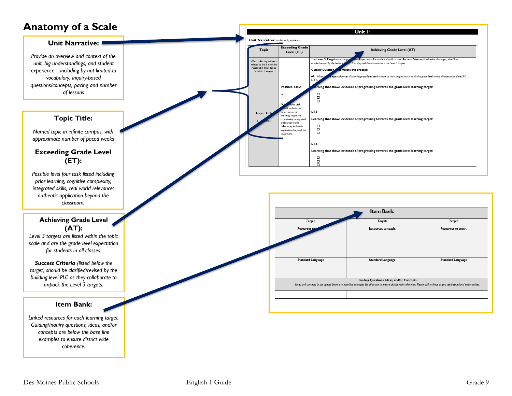# **Anatomy of a Scale**

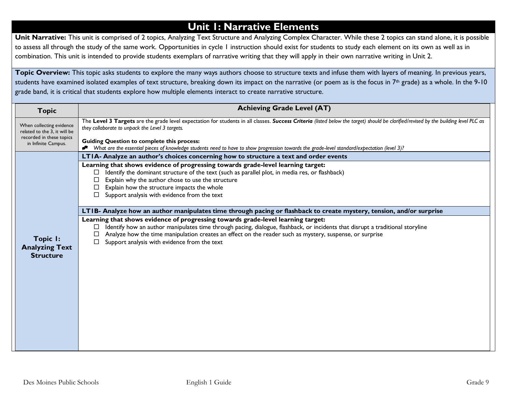# **Unit 1: Narrative Elements**

Unit Narrative: This unit is comprised of 2 topics, Analyzing Text Structure and Analyzing Complex Character. While these 2 topics can stand alone, it is possible to assess all through the study of the same work. Opportunities in cycle 1 instruction should exist for students to study each element on its own as well as in combination. This unit is intended to provide students exemplars of narrative writing that they will apply in their own narrative writing in Unit 2.

Topic Overview: This topic asks students to explore the many ways authors choose to structure texts and infuse them with layers of meaning. In previous years, students have examined isolated examples of text structure, breaking down its impact on the narrative (or poem as is the focus in 7<sup>th</sup> grade) as a whole. In the 9-10 grade band, it is critical that students explore how multiple elements interact to create narrative structure.

| <b>Topic</b>                                                                                                | <b>Achieving Grade Level (AT)</b>                                                                                                                                                                                                                                                                                                                                                   |
|-------------------------------------------------------------------------------------------------------------|-------------------------------------------------------------------------------------------------------------------------------------------------------------------------------------------------------------------------------------------------------------------------------------------------------------------------------------------------------------------------------------|
| When collecting evidence<br>related to the 3, it will be<br>recorded in these topics<br>in Infinite Campus. | The Level 3 Targets are the grade level expectation for students in all classes. Success Criteria (listed below the target) should be clarified/revised by the building level PLC as<br>they collaborate to unpack the Level 3 targets.<br><b>Guiding Question to complete this process:</b>                                                                                        |
|                                                                                                             | What are the essential pieces of knowledge students need to have to show progression towards the grade-level standard/expectation (level 3)?                                                                                                                                                                                                                                        |
|                                                                                                             | LTIA- Analyze an author's choices concerning how to structure a text and order events                                                                                                                                                                                                                                                                                               |
|                                                                                                             | Learning that shows evidence of progressing towards grade-level learning target:<br>Identify the dominant structure of the text (such as parallel plot, in media res, or flashback)                                                                                                                                                                                                 |
|                                                                                                             | Explain why the author chose to use the structure                                                                                                                                                                                                                                                                                                                                   |
|                                                                                                             | Explain how the structure impacts the whole<br>⊔                                                                                                                                                                                                                                                                                                                                    |
|                                                                                                             | Support analysis with evidence from the text                                                                                                                                                                                                                                                                                                                                        |
|                                                                                                             | LTIB- Analyze how an author manipulates time through pacing or flashback to create mystery, tension, and/or surprise                                                                                                                                                                                                                                                                |
| Topic I:<br><b>Analyzing Text</b><br><b>Structure</b>                                                       | Learning that shows evidence of progressing towards grade-level learning target:<br>Identify how an author manipulates time through pacing, dialogue, flashback, or incidents that disrupt a traditional storyline<br>Analyze how the time manipulation creates an effect on the reader such as mystery, suspense, or surprise<br>□<br>Support analysis with evidence from the text |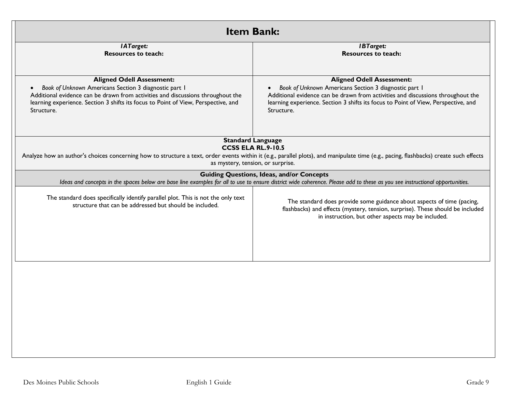| <b>Item Bank:</b>                                                                                                                                                                                                                                                                |                                                                                                                                                                                                                                                                                  |  |
|----------------------------------------------------------------------------------------------------------------------------------------------------------------------------------------------------------------------------------------------------------------------------------|----------------------------------------------------------------------------------------------------------------------------------------------------------------------------------------------------------------------------------------------------------------------------------|--|
| <b>IATarget:</b><br><b>Resources to teach:</b>                                                                                                                                                                                                                                   | <b>IBTarget:</b><br><b>Resources to teach:</b>                                                                                                                                                                                                                                   |  |
|                                                                                                                                                                                                                                                                                  |                                                                                                                                                                                                                                                                                  |  |
| <b>Aligned Odell Assessment:</b><br>Book of Unknown Americans Section 3 diagnostic part 1<br>Additional evidence can be drawn from activities and discussions throughout the<br>learning experience. Section 3 shifts its focus to Point of View, Perspective, and<br>Structure. | <b>Aligned Odell Assessment:</b><br>Book of Unknown Americans Section 3 diagnostic part 1<br>Additional evidence can be drawn from activities and discussions throughout the<br>learning experience. Section 3 shifts its focus to Point of View, Perspective, and<br>Structure. |  |
|                                                                                                                                                                                                                                                                                  | <b>Standard Language</b>                                                                                                                                                                                                                                                         |  |
|                                                                                                                                                                                                                                                                                  | <b>CCSS ELA RL.9-10.5</b><br>Analyze how an author's choices concerning how to structure a text, order events within it (e.g., parallel plots), and manipulate time (e.g., pacing, flashbacks) create such effects<br>as mystery, tension, or surprise.                          |  |
|                                                                                                                                                                                                                                                                                  | <b>Guiding Questions, Ideas, and/or Concepts</b><br>Ideas and concepts in the spaces below are base line examples for all to use to ensure district wide coherence. Please add to these as you see instructional opportunities.                                                  |  |
| The standard does specifically identify parallel plot. This is not the only text<br>structure that can be addressed but should be included.                                                                                                                                      | The standard does provide some guidance about aspects of time (pacing,<br>flashbacks) and effects (mystery, tension, surprise). These should be included<br>in instruction, but other aspects may be included.                                                                   |  |
|                                                                                                                                                                                                                                                                                  |                                                                                                                                                                                                                                                                                  |  |
|                                                                                                                                                                                                                                                                                  |                                                                                                                                                                                                                                                                                  |  |
|                                                                                                                                                                                                                                                                                  |                                                                                                                                                                                                                                                                                  |  |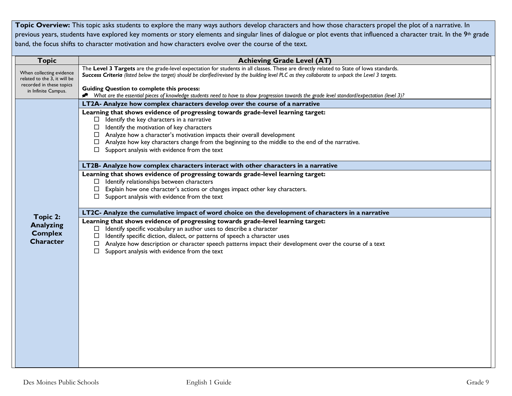**Topic Overview:** This topic asks students to explore the many ways authors develop characters and how those characters propel the plot of a narrative. In previous years, students have explored key moments or story elements and singular lines of dialogue or plot events that influenced a character trait. In the 9<sup>th</sup> grade band, the focus shifts to character motivation and how characters evolve over the course of the text.

| <b>Topic</b>                                                       | <b>Achieving Grade Level (AT)</b>                                                                                                                                                                                                                                                                                                                                                                                                           |
|--------------------------------------------------------------------|---------------------------------------------------------------------------------------------------------------------------------------------------------------------------------------------------------------------------------------------------------------------------------------------------------------------------------------------------------------------------------------------------------------------------------------------|
| When collecting evidence<br>related to the 3, it will be           | The Level 3 Targets are the grade-level expectation for students in all classes. These are directly related to State of lowa standards.<br>Success Criteria (listed below the target) should be clarified/revised by the building level PLC as they collaborate to unpack the Level 3 targets.                                                                                                                                              |
| recorded in these topics<br>in Infinite Campus.                    | <b>Guiding Question to complete this process:</b><br>What are the essential pieces of knowledge students need to have to show progression towards the grade level standard/expectation (level 3)?                                                                                                                                                                                                                                           |
|                                                                    | LT2A- Analyze how complex characters develop over the course of a narrative                                                                                                                                                                                                                                                                                                                                                                 |
|                                                                    | Learning that shows evidence of progressing towards grade-level learning target:<br>$\Box$ Identify the key characters in a narrative<br>$\Box$ Identify the motivation of key characters<br>$\Box$ Analyze how a character's motivation impacts their overall development<br>$\Box$ Analyze how key characters change from the beginning to the middle to the end of the narrative.<br>$\Box$ Support analysis with evidence from the text |
|                                                                    | LT2B- Analyze how complex characters interact with other characters in a narrative                                                                                                                                                                                                                                                                                                                                                          |
|                                                                    | Learning that shows evidence of progressing towards grade-level learning target:<br>$\Box$ Identify relationships between characters<br>Explain how one character's actions or changes impact other key characters.<br>Support analysis with evidence from the text<br>$\Box$                                                                                                                                                               |
|                                                                    | LT2C- Analyze the cumulative impact of word choice on the development of characters in a narrative                                                                                                                                                                                                                                                                                                                                          |
| Topic 2:<br><b>Analyzing</b><br><b>Complex</b><br><b>Character</b> | Learning that shows evidence of progressing towards grade-level learning target:<br>$\Box$ Identify specific vocabulary an author uses to describe a character<br>Identify specific diction, dialect, or patterns of speech a character uses<br>□<br>$\Box$ Analyze how description or character speech patterns impact their development over the course of a text<br>Support analysis with evidence from the text<br>$\Box$               |
|                                                                    |                                                                                                                                                                                                                                                                                                                                                                                                                                             |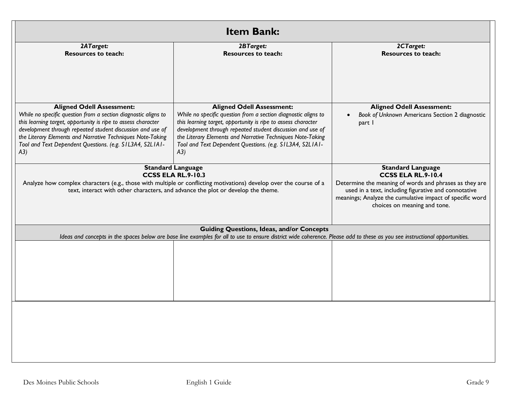| <b>Item Bank:</b>                                                                                                                                                                                                                                                                                                                                                   |                                                                                                                                                                                                                                                                                                                                                                     |                                                                                              |  |
|---------------------------------------------------------------------------------------------------------------------------------------------------------------------------------------------------------------------------------------------------------------------------------------------------------------------------------------------------------------------|---------------------------------------------------------------------------------------------------------------------------------------------------------------------------------------------------------------------------------------------------------------------------------------------------------------------------------------------------------------------|----------------------------------------------------------------------------------------------|--|
| 2ATarget:<br><b>Resources to teach:</b>                                                                                                                                                                                                                                                                                                                             | 2BTarget:<br><b>Resources to teach:</b>                                                                                                                                                                                                                                                                                                                             | 2CTarget:<br><b>Resources to teach:</b>                                                      |  |
| <b>Aligned Odell Assessment:</b><br>While no specific question from a section diagnostic aligns to<br>this learning target, opportunity is ripe to assess character<br>development through repeated student discussion and use of<br>the Literary Elements and Narrative Techniques Note-Taking<br>Tool and Text Dependent Questions. (e.g. SIL3A4, S2LIAI-<br>(A3) | <b>Aligned Odell Assessment:</b><br>While no specific question from a section diagnostic aligns to<br>this learning target, opportunity is ripe to assess character<br>development through repeated student discussion and use of<br>the Literary Elements and Narrative Techniques Note-Taking<br>Tool and Text Dependent Questions. (e.g. SIL3A4, S2LIAI-<br>(A3) | <b>Aligned Odell Assessment:</b><br>Book of Unknown Americans Section 2 diagnostic<br>part I |  |
| <b>Standard Language</b><br><b>CCSS ELA RL.9-10.3</b><br>Analyze how complex characters (e.g., those with multiple or conflicting motivations) develop over the course of a<br>text, interact with other characters, and advance the plot or develop the theme.                                                                                                     | <b>Standard Language</b><br><b>CCSS ELA RL.9-10.4</b><br>Determine the meaning of words and phrases as they are<br>used in a text, including figurative and connotative<br>meanings; Analyze the cumulative impact of specific word<br>choices on meaning and tone.                                                                                                 |                                                                                              |  |
|                                                                                                                                                                                                                                                                                                                                                                     | <b>Guiding Questions, Ideas, and/or Concepts</b><br>Ideas and concepts in the spaces below are base line examples for all to use to ensure district wide coherence. Please add to these as you see instructional opportunities.                                                                                                                                     |                                                                                              |  |
|                                                                                                                                                                                                                                                                                                                                                                     |                                                                                                                                                                                                                                                                                                                                                                     |                                                                                              |  |
|                                                                                                                                                                                                                                                                                                                                                                     |                                                                                                                                                                                                                                                                                                                                                                     |                                                                                              |  |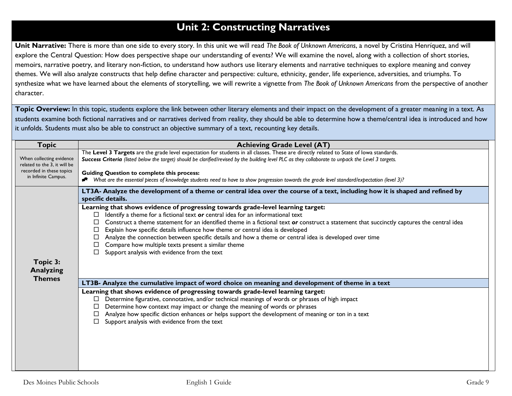# **Unit 2: Constructing Narratives**

**Unit Narrative:** There is more than one side to every story. In this unit we will read *The Book of Unknown Americans*, a novel by Cristina Henríquez, and will explore the Central Question: How does perspective shape our understanding of events? We will examine the novel, along with a collection of short stories, memoirs, narrative poetry, and literary non-fiction, to understand how authors use literary elements and narrative techniques to explore meaning and convey themes. We will also analyze constructs that help define character and perspective: culture, ethnicity, gender, life experience, adversities, and triumphs. To synthesize what we have learned about the elements of storytelling, we will rewrite a vignette from *The Book of Unknown Americans* from the perspective of another character.

Topic Overview: In this topic, students explore the link between other literary elements and their impact on the development of a greater meaning in a text. As students examine both fictional narratives and or narratives derived from reality, they should be able to determine how a theme/central idea is introduced and how it unfolds. Students must also be able to construct an objective summary of a text, recounting key details.

| <b>Topic</b>                                                                                                | <b>Achieving Grade Level (AT)</b>                                                                                                                                                                                                                                                                                                                                                                                                                                                                                                                                                                                                                                                                                                                                                                                                                                                                                                                                                                                                                                                                                                                                                                                                                                                                                           |
|-------------------------------------------------------------------------------------------------------------|-----------------------------------------------------------------------------------------------------------------------------------------------------------------------------------------------------------------------------------------------------------------------------------------------------------------------------------------------------------------------------------------------------------------------------------------------------------------------------------------------------------------------------------------------------------------------------------------------------------------------------------------------------------------------------------------------------------------------------------------------------------------------------------------------------------------------------------------------------------------------------------------------------------------------------------------------------------------------------------------------------------------------------------------------------------------------------------------------------------------------------------------------------------------------------------------------------------------------------------------------------------------------------------------------------------------------------|
| When collecting evidence<br>related to the 3, it will be<br>recorded in these topics<br>in Infinite Campus. | The Level 3 Targets are the grade level expectation for students in all classes. These are directly related to State of lowa standards.<br>Success Criteria (listed below the target) should be clarified/revised by the building level PLC as they collaborate to unpack the Level 3 targets.<br><b>Guiding Question to complete this process:</b><br>Nhat are the essential pieces of knowledge students need to have to show progression towards the grade level standard/expectation (level 3)?                                                                                                                                                                                                                                                                                                                                                                                                                                                                                                                                                                                                                                                                                                                                                                                                                         |
| Topic 3:<br><b>Analyzing</b><br><b>Themes</b>                                                               | LT3A- Analyze the development of a theme or central idea over the course of a text, including how it is shaped and refined by<br>specific details.<br>Learning that shows evidence of progressing towards grade-level learning target:<br>Identify a theme for a fictional text or central idea for an informational text<br>Construct a theme statement for an identified theme in a fictional text or construct a statement that succinctly captures the central idea<br>Explain how specific details influence how theme or central idea is developed<br>Analyze the connection between specific details and how a theme or central idea is developed over time<br>Compare how multiple texts present a similar theme<br>Support analysis with evidence from the text<br>LT3B- Analyze the cumulative impact of word choice on meaning and development of theme in a text<br>Learning that shows evidence of progressing towards grade-level learning target:<br>Determine figurative, connotative, and/or technical meanings of words or phrases of high impact<br>$\Box$<br>Determine how context may impact or change the meaning of words or phrases<br>Analyze how specific diction enhances or helps support the development of meaning or ton in a text<br>$\Box$<br>Support analysis with evidence from the text |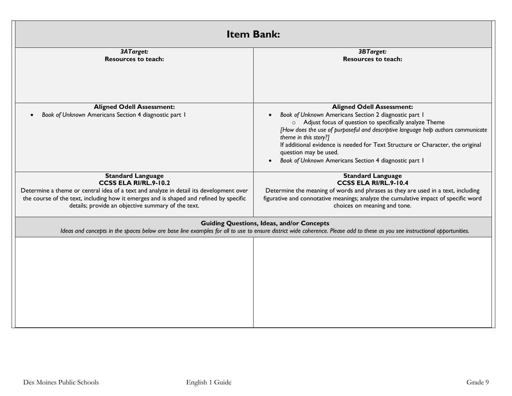| <b>Item Bank:</b>                                                                                                                                                                                                               |                                                                                                                     |  |
|---------------------------------------------------------------------------------------------------------------------------------------------------------------------------------------------------------------------------------|---------------------------------------------------------------------------------------------------------------------|--|
| 3ATarget:                                                                                                                                                                                                                       | <b>3BTarget:</b>                                                                                                    |  |
| <b>Resources to teach:</b>                                                                                                                                                                                                      | <b>Resources to teach:</b>                                                                                          |  |
|                                                                                                                                                                                                                                 |                                                                                                                     |  |
| <b>Aligned Odell Assessment:</b>                                                                                                                                                                                                | <b>Aligned Odell Assessment:</b>                                                                                    |  |
| Book of Unknown Americans Section 4 diagnostic part I                                                                                                                                                                           | Book of Unknown Americans Section 2 diagnostic part I                                                               |  |
|                                                                                                                                                                                                                                 | o Adjust focus of question to specifically analyze Theme                                                            |  |
|                                                                                                                                                                                                                                 | [How does the use of purposeful and descriptive language help authors communicate<br>theme in this story?]          |  |
|                                                                                                                                                                                                                                 | If additional evidence is needed for Text Structure or Character, the original                                      |  |
|                                                                                                                                                                                                                                 | question may be used.                                                                                               |  |
|                                                                                                                                                                                                                                 | Book of Unknown Americans Section 4 diagnostic part I                                                               |  |
| <b>Standard Language</b>                                                                                                                                                                                                        | <b>Standard Language</b>                                                                                            |  |
| CCSS ELA RI/RL.9-10.2                                                                                                                                                                                                           | CCSS ELA RI/RL.9-10.4                                                                                               |  |
| Determine a theme or central idea of a text and analyze in detail its development over                                                                                                                                          | Determine the meaning of words and phrases as they are used in a text, including                                    |  |
| the course of the text, including how it emerges and is shaped and refined by specific<br>details; provide an objective summary of the text.                                                                                    | figurative and connotative meanings; analyze the cumulative impact of specific word<br>choices on meaning and tone. |  |
| <b>Guiding Questions, Ideas, and/or Concepts</b><br>Ideas and concepts in the spaces below are base line examples for all to use to ensure district wide coherence. Please add to these as you see instructional opportunities. |                                                                                                                     |  |
|                                                                                                                                                                                                                                 |                                                                                                                     |  |
|                                                                                                                                                                                                                                 |                                                                                                                     |  |
|                                                                                                                                                                                                                                 |                                                                                                                     |  |
|                                                                                                                                                                                                                                 |                                                                                                                     |  |
|                                                                                                                                                                                                                                 |                                                                                                                     |  |
|                                                                                                                                                                                                                                 |                                                                                                                     |  |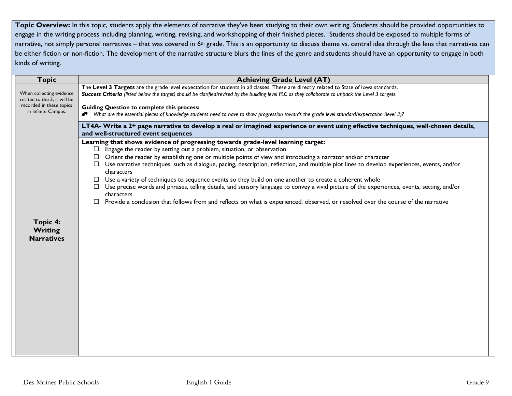Topic Overview: In this topic, students apply the elements of narrative they've been studying to their own writing. Students should be provided opportunities to engage in the writing process including planning, writing, revising, and workshopping of their finished pieces. Students should be exposed to multiple forms of narrative, not simply personal narratives – that was covered in 6<sup>th</sup> grade. This is an opportunity to discuss theme vs. central idea through the lens that narratives can be either fiction or non-fiction. The development of the narrative structure blurs the lines of the genre and students should have an opportunity to engage in both kinds of writing.

| <b>Topic</b>                                             | <b>Achieving Grade Level (AT)</b>                                                                                                                                         |
|----------------------------------------------------------|---------------------------------------------------------------------------------------------------------------------------------------------------------------------------|
|                                                          | The Level 3 Targets are the grade level expectation for students in all classes. These are directly related to State of lowa standards.                                   |
| When collecting evidence<br>related to the 3, it will be | Success Criteria (listed below the target) should be clarified/revised by the building level PLC as they collaborate to unpack the Level 3 targets.                       |
| recorded in these topics                                 | <b>Guiding Question to complete this process:</b>                                                                                                                         |
| in Infinite Campus.                                      | Nhat are the essential pieces of knowledge students need to have to show progression towards the grade level standard/expectation (level 3)?                              |
|                                                          | LT4A- Write a 2+ page narrative to develop a real or imagined experience or event using effective techniques, well-chosen details,<br>and well-structured event sequences |
|                                                          | Learning that shows evidence of progressing towards grade-level learning target:                                                                                          |
|                                                          | Engage the reader by setting out a problem, situation, or observation<br>$\Box$                                                                                           |
|                                                          | $\Box$ Orient the reader by establishing one or multiple points of view and introducing a narrator and/or character                                                       |
|                                                          | $\Box$ Use narrative techniques, such as dialogue, pacing, description, reflection, and multiple plot lines to develop experiences, events, and/or                        |
|                                                          | characters<br>$\Box$ Use a variety of techniques to sequence events so they build on one another to create a coherent whole                                               |
|                                                          | Use precise words and phrases, telling details, and sensory language to convey a vivid picture of the experiences, events, setting, and/or                                |
|                                                          | characters                                                                                                                                                                |
|                                                          | Provide a conclusion that follows from and reflects on what is experienced, observed, or resolved over the course of the narrative<br>□                                   |
|                                                          |                                                                                                                                                                           |
| Topic 4:                                                 |                                                                                                                                                                           |
| Writing                                                  |                                                                                                                                                                           |
| <b>Narratives</b>                                        |                                                                                                                                                                           |
|                                                          |                                                                                                                                                                           |
|                                                          |                                                                                                                                                                           |
|                                                          |                                                                                                                                                                           |
|                                                          |                                                                                                                                                                           |
|                                                          |                                                                                                                                                                           |
|                                                          |                                                                                                                                                                           |
|                                                          |                                                                                                                                                                           |
|                                                          |                                                                                                                                                                           |
|                                                          |                                                                                                                                                                           |
|                                                          |                                                                                                                                                                           |
|                                                          |                                                                                                                                                                           |
|                                                          |                                                                                                                                                                           |
|                                                          |                                                                                                                                                                           |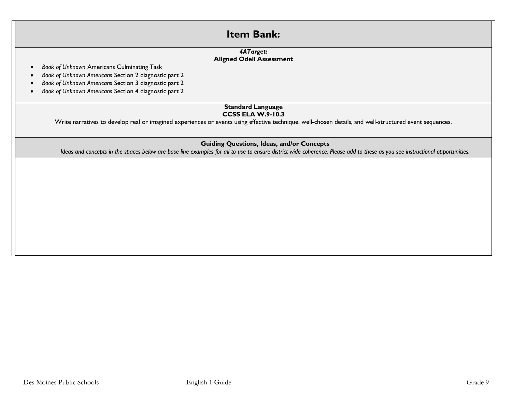# **Item Bank:**  *4ATarget:*  **Aligned Odell Assessment** • *Book of Unknown* Americans Culminating Task • *Book of Unknown Americans* Section 2 diagnostic part 2 • *Book of Unknown Americans* Section 3 diagnostic part 2 • *Book of Unknown Americans* Section 4 diagnostic part 2 **Standard Language CCSS ELA W.9-10.3** Write narratives to develop real or imagined experiences or events using effective technique, well-chosen details, and well-structured event sequences. **Guiding Questions, Ideas, and/or Concepts** *Ideas and concepts in the spaces below are base line examples for all to use to ensure district wide coherence. Please add to these as you see instructional opportunities.*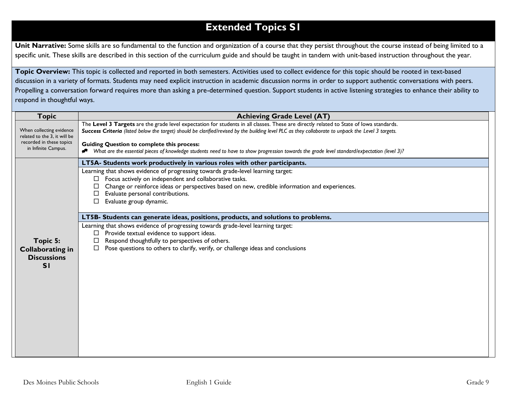# **Extended Topics S1**

Unit Narrative: Some skills are so fundamental to the function and organization of a course that they persist throughout the course instead of being limited to a specific unit. These skills are described in this section of the curriculum guide and should be taught in tandem with unit-based instruction throughout the year.

**Topic Overview:** This topic is collected and reported in both semesters. Activities used to collect evidence for this topic should be rooted in text-based discussion in a variety of formats. Students may need explicit instruction in academic discussion norms in order to support authentic conversations with peers. Propelling a conversation forward requires more than asking a pre-determined question. Support students in active listening strategies to enhance their ability to respond in thoughtful ways.

| <b>Topic</b>                                                    | <b>Achieving Grade Level (AT)</b>                                                                                                                                                                                                                                                                                    |
|-----------------------------------------------------------------|----------------------------------------------------------------------------------------------------------------------------------------------------------------------------------------------------------------------------------------------------------------------------------------------------------------------|
| When collecting evidence<br>related to the 3, it will be        | The Level 3 Targets are the grade level expectation for students in all classes. These are directly related to State of lowa standards.<br>Success Criteria (listed below the target) should be clarified/revised by the building level PLC as they collaborate to unpack the Level 3 targets.                       |
| recorded in these topics<br>in Infinite Campus.                 | <b>Guiding Question to complete this process:</b><br>Nhat are the essential pieces of knowledge students need to have to show progression towards the grade level standard/expectation (level 3)?                                                                                                                    |
|                                                                 | LT5A- Students work productively in various roles with other participants.                                                                                                                                                                                                                                           |
|                                                                 | Learning that shows evidence of progressing towards grade-level learning target:<br>Focus actively on independent and collaborative tasks.<br>$\Box$<br>Change or reinforce ideas or perspectives based on new, credible information and experiences.<br>Evaluate personal contributions.<br>Evaluate group dynamic. |
|                                                                 | LT5B- Students can generate ideas, positions, products, and solutions to problems.                                                                                                                                                                                                                                   |
| Topic 5:<br><b>Collaborating in</b><br><b>Discussions</b><br>SI | Learning that shows evidence of progressing towards grade-level learning target:<br>Provide textual evidence to support ideas.<br>Respond thoughtfully to perspectives of others.<br>Pose questions to others to clarify, verify, or challenge ideas and conclusions                                                 |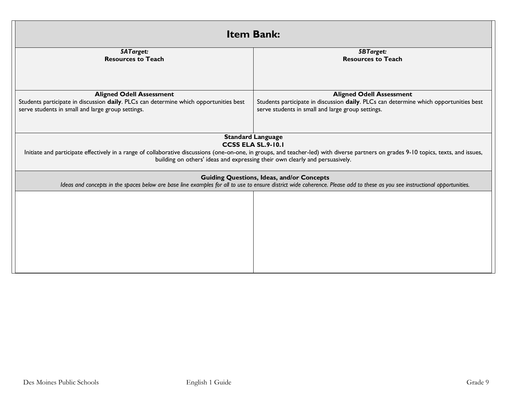| <b>Item Bank:</b>                                                                                                                                                                                                               |                                                                                                                                                                                                                                                                       |  |
|---------------------------------------------------------------------------------------------------------------------------------------------------------------------------------------------------------------------------------|-----------------------------------------------------------------------------------------------------------------------------------------------------------------------------------------------------------------------------------------------------------------------|--|
| <b>5ATarget:</b>                                                                                                                                                                                                                | <b>5BTarget:</b>                                                                                                                                                                                                                                                      |  |
| <b>Resources to Teach</b>                                                                                                                                                                                                       | <b>Resources to Teach</b>                                                                                                                                                                                                                                             |  |
|                                                                                                                                                                                                                                 |                                                                                                                                                                                                                                                                       |  |
| <b>Aligned Odell Assessment</b>                                                                                                                                                                                                 | <b>Aligned Odell Assessment</b>                                                                                                                                                                                                                                       |  |
| Students participate in discussion daily. PLCs can determine which opportunities best                                                                                                                                           | Students participate in discussion daily. PLCs can determine which opportunities best                                                                                                                                                                                 |  |
| serve students in small and large group settings.                                                                                                                                                                               | serve students in small and large group settings.                                                                                                                                                                                                                     |  |
|                                                                                                                                                                                                                                 | <b>Standard Language</b>                                                                                                                                                                                                                                              |  |
|                                                                                                                                                                                                                                 | <b>CCSS ELA SL.9-10.1</b>                                                                                                                                                                                                                                             |  |
|                                                                                                                                                                                                                                 | Initiate and participate effectively in a range of collaborative discussions (one-on-one, in groups, and teacher-led) with diverse partners on grades 9-10 topics, texts, and issues,<br>building on others' ideas and expressing their own clearly and persuasively. |  |
| <b>Guiding Questions, Ideas, and/or Concepts</b><br>Ideas and concepts in the spaces below are base line examples for all to use to ensure district wide coherence. Please add to these as you see instructional opportunities. |                                                                                                                                                                                                                                                                       |  |
|                                                                                                                                                                                                                                 |                                                                                                                                                                                                                                                                       |  |
|                                                                                                                                                                                                                                 |                                                                                                                                                                                                                                                                       |  |
|                                                                                                                                                                                                                                 |                                                                                                                                                                                                                                                                       |  |
|                                                                                                                                                                                                                                 |                                                                                                                                                                                                                                                                       |  |
|                                                                                                                                                                                                                                 |                                                                                                                                                                                                                                                                       |  |
|                                                                                                                                                                                                                                 |                                                                                                                                                                                                                                                                       |  |
|                                                                                                                                                                                                                                 |                                                                                                                                                                                                                                                                       |  |
|                                                                                                                                                                                                                                 |                                                                                                                                                                                                                                                                       |  |
|                                                                                                                                                                                                                                 |                                                                                                                                                                                                                                                                       |  |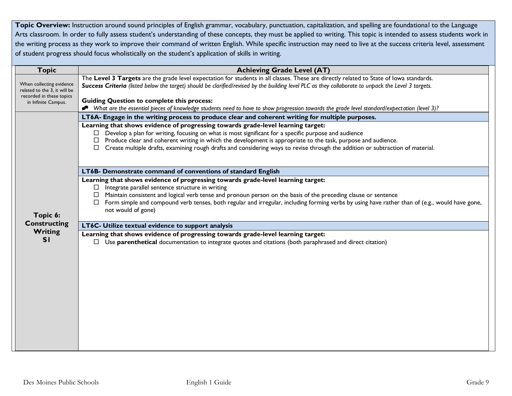Topic Overview: Instruction around sound principles of English grammar, vocabulary, punctuation, capitalization, and spelling are foundational to the Language Arts classroom. In order to fully assess student's understanding of these concepts, they must be applied to writing. This topic is intended to assess students work in the writing process as they work to improve their command of written English. While specific instruction may need to live at the success criteria level, assessment of student progress should focus wholistically on the student's application of skills in writing.

| <b>Topic</b>                                                                         | <b>Achieving Grade Level (AT)</b>                                                                                                                                                                                                                                                                                                                                                                                                                                |
|--------------------------------------------------------------------------------------|------------------------------------------------------------------------------------------------------------------------------------------------------------------------------------------------------------------------------------------------------------------------------------------------------------------------------------------------------------------------------------------------------------------------------------------------------------------|
| When collecting evidence<br>related to the 3, it will be<br>recorded in these topics | The Level 3 Targets are the grade level expectation for students in all classes. These are directly related to State of lowa standards.<br>Success Criteria (listed below the target) should be clarified/revised by the building level PLC as they collaborate to unpack the Level 3 targets.                                                                                                                                                                   |
| in Infinite Campus.                                                                  | <b>Guiding Question to complete this process:</b><br>◆ What are the essential pieces of knowledge students need to have to show progression towards the grade level standard/expectation (level 3)?                                                                                                                                                                                                                                                              |
|                                                                                      | LT6A- Engage in the writing process to produce clear and coherent writing for multiple purposes.                                                                                                                                                                                                                                                                                                                                                                 |
|                                                                                      | Learning that shows evidence of progressing towards grade-level learning target:<br>$\Box$ Develop a plan for writing, focusing on what is most significant for a specific purpose and audience<br>$\Box$ Produce clear and coherent writing in which the development is appropriate to the task, purpose and audience.<br>$\Box$ Create multiple drafts, examining rough drafts and considering ways to revise through the addition or subtraction of material. |
|                                                                                      | LT6B- Demonstrate command of conventions of standard English                                                                                                                                                                                                                                                                                                                                                                                                     |
|                                                                                      | Learning that shows evidence of progressing towards grade-level learning target:<br>$\Box$ Integrate parallel sentence structure in writing<br>$\Box$ Maintain consistent and logical verb tense and pronoun person on the basis of the preceding clause or sentence                                                                                                                                                                                             |
| Topic 6:                                                                             | $\Box$ Form simple and compound verb tenses, both regular and irregular, including forming verbs by using have rather than of (e.g., would have gone,<br>not would of gone)                                                                                                                                                                                                                                                                                      |
| <b>Constructing</b>                                                                  | LT6C- Utilize textual evidence to support analysis                                                                                                                                                                                                                                                                                                                                                                                                               |
| Writing<br>SI                                                                        | Learning that shows evidence of progressing towards grade-level learning target:                                                                                                                                                                                                                                                                                                                                                                                 |
|                                                                                      | $\Box$ Use parenthetical documentation to integrate quotes and citations (both paraphrased and direct citation)                                                                                                                                                                                                                                                                                                                                                  |
|                                                                                      |                                                                                                                                                                                                                                                                                                                                                                                                                                                                  |
|                                                                                      |                                                                                                                                                                                                                                                                                                                                                                                                                                                                  |
|                                                                                      |                                                                                                                                                                                                                                                                                                                                                                                                                                                                  |
|                                                                                      |                                                                                                                                                                                                                                                                                                                                                                                                                                                                  |
|                                                                                      |                                                                                                                                                                                                                                                                                                                                                                                                                                                                  |
|                                                                                      |                                                                                                                                                                                                                                                                                                                                                                                                                                                                  |
|                                                                                      |                                                                                                                                                                                                                                                                                                                                                                                                                                                                  |
|                                                                                      |                                                                                                                                                                                                                                                                                                                                                                                                                                                                  |
|                                                                                      |                                                                                                                                                                                                                                                                                                                                                                                                                                                                  |
|                                                                                      |                                                                                                                                                                                                                                                                                                                                                                                                                                                                  |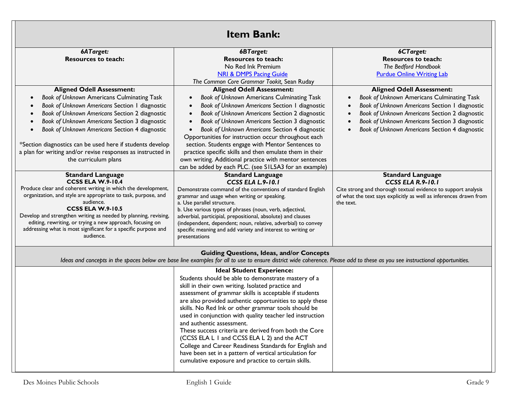| <b>Item Bank:</b>                                                           |                                                                                                                                                                                                                                 |                                                                   |  |
|-----------------------------------------------------------------------------|---------------------------------------------------------------------------------------------------------------------------------------------------------------------------------------------------------------------------------|-------------------------------------------------------------------|--|
| 6ATarget:                                                                   | 6BTarget:                                                                                                                                                                                                                       | 6CTarget:                                                         |  |
| <b>Resources to teach:</b>                                                  | <b>Resources to teach:</b>                                                                                                                                                                                                      | <b>Resources to teach:</b>                                        |  |
|                                                                             | No Red Ink Premium                                                                                                                                                                                                              | The Bedford Handbook                                              |  |
|                                                                             | <b>NRI &amp; DMPS Pacing Guide</b><br>The Common Core Grammar Tookit, Sean Ruday                                                                                                                                                | <b>Purdue Online Writing Lab</b>                                  |  |
| <b>Aligned Odell Assessment:</b>                                            | <b>Aligned Odell Assessment:</b>                                                                                                                                                                                                | <b>Aligned Odell Assessment:</b>                                  |  |
| Book of Unknown Americans Culminating Task                                  | Book of Unknown Americans Culminating Task                                                                                                                                                                                      | Book of Unknown Americans Culminating Task                        |  |
| Book of Unknown Americans Section 1 diagnostic                              | Book of Unknown Americans Section 1 diagnostic                                                                                                                                                                                  | Book of Unknown Americans Section 1 diagnostic                    |  |
| Book of Unknown Americans Section 2 diagnostic                              | Book of Unknown Americans Section 2 diagnostic                                                                                                                                                                                  | Book of Unknown Americans Section 2 diagnostic<br>$\bullet$       |  |
| Book of Unknown Americans Section 3 diagnostic                              | Book of Unknown Americans Section 3 diagnostic                                                                                                                                                                                  | Book of Unknown Americans Section 3 diagnostic<br>$\bullet$       |  |
| Book of Unknown Americans Section 4 diagnostic                              | Book of Unknown Americans Section 4 diagnostic                                                                                                                                                                                  | Book of Unknown Americans Section 4 diagnostic                    |  |
|                                                                             | Opportunities for instruction occur throughout each                                                                                                                                                                             |                                                                   |  |
| *Section diagnostics can be used here if students develop                   | section. Students engage with Mentor Sentences to                                                                                                                                                                               |                                                                   |  |
| a plan for writing and/or revise responses as instructed in                 | practice specific skills and then emulate them in their                                                                                                                                                                         |                                                                   |  |
| the curriculum plans                                                        | own writing. Additional practice with mentor sentences<br>can be added by each PLC. (see SIL5A3 for an example)                                                                                                                 |                                                                   |  |
| <b>Standard Language</b>                                                    | <b>Standard Language</b>                                                                                                                                                                                                        | <b>Standard Language</b>                                          |  |
| <b>CCSS ELA W.9-10.4</b>                                                    | <b>CCSS ELA L.9-10.1</b>                                                                                                                                                                                                        | <b>CCSS ELA R.9-10.1</b>                                          |  |
| Produce clear and coherent writing in which the development,                | Demonstrate command of the conventions of standard English                                                                                                                                                                      | Cite strong and thorough textual evidence to support analysis     |  |
| organization, and style are appropriate to task, purpose, and<br>audience.  | grammar and usage when writing or speaking.                                                                                                                                                                                     | of what the text says explicitly as well as inferences drawn from |  |
| <b>CCSS ELA W.9-10.5</b>                                                    | a. Use parallel structure.<br>b. Use various types of phrases (noun, verb, adjectival,                                                                                                                                          | the text.                                                         |  |
| Develop and strengthen writing as needed by planning, revising,             | adverbial, participial, prepositional, absolute) and clauses                                                                                                                                                                    |                                                                   |  |
| editing, rewriting, or trying a new approach, focusing on                   | (independent, dependent; noun, relative, adverbial) to convey                                                                                                                                                                   |                                                                   |  |
| addressing what is most significant for a specific purpose and<br>audience. | specific meaning and add variety and interest to writing or                                                                                                                                                                     |                                                                   |  |
|                                                                             | presentations                                                                                                                                                                                                                   |                                                                   |  |
|                                                                             | <b>Guiding Questions, Ideas, and/or Concepts</b><br>Ideas and concepts in the spaces below are base line examples for all to use to ensure district wide coherence. Please add to these as you see instructional opportunities. |                                                                   |  |
|                                                                             | <b>Ideal Student Experience:</b>                                                                                                                                                                                                |                                                                   |  |
|                                                                             | Students should be able to demonstrate mastery of a                                                                                                                                                                             |                                                                   |  |
|                                                                             | skill in their own writing. Isolated practice and                                                                                                                                                                               |                                                                   |  |
|                                                                             | assessment of grammar skills is acceptable if students<br>are also provided authentic opportunities to apply these                                                                                                              |                                                                   |  |
|                                                                             | skills. No Red Ink or other grammar tools should be                                                                                                                                                                             |                                                                   |  |
|                                                                             | used in conjunction with quality teacher led instruction                                                                                                                                                                        |                                                                   |  |
|                                                                             | and authentic assessment.                                                                                                                                                                                                       |                                                                   |  |
|                                                                             | These success criteria are derived from both the Core                                                                                                                                                                           |                                                                   |  |
|                                                                             | (CCSS ELA L I and CCSS ELA L 2) and the ACT                                                                                                                                                                                     |                                                                   |  |
|                                                                             | College and Career Readiness Standards for English and                                                                                                                                                                          |                                                                   |  |
|                                                                             | have been set in a pattern of vertical articulation for<br>cumulative exposure and practice to certain skills.                                                                                                                  |                                                                   |  |
|                                                                             |                                                                                                                                                                                                                                 |                                                                   |  |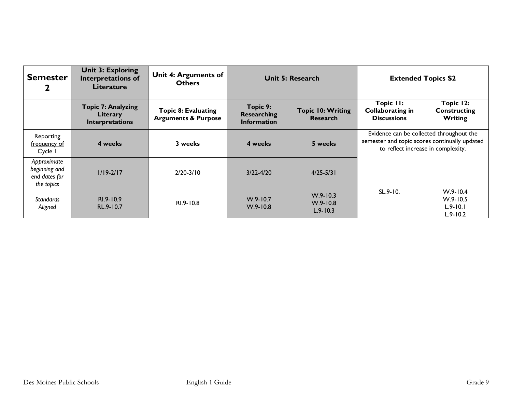| <b>Semester</b>                                             | <b>Unit 3: Exploring</b><br><b>Interpretations of</b><br><b>Literature</b> | <b>Unit 4: Arguments of</b><br><b>Others</b>                 | <b>Unit 5: Research</b>                       |                                              |                                                            | <b>Extended Topics S2</b>                                                                                                       |
|-------------------------------------------------------------|----------------------------------------------------------------------------|--------------------------------------------------------------|-----------------------------------------------|----------------------------------------------|------------------------------------------------------------|---------------------------------------------------------------------------------------------------------------------------------|
|                                                             | <b>Topic 7: Analyzing</b><br>Literary<br>Interpretations                   | <b>Topic 8: Evaluating</b><br><b>Arguments &amp; Purpose</b> | Topic 9:<br>Researching<br><b>Information</b> | <b>Topic 10: Writing</b><br><b>Research</b>  | Topic II:<br><b>Collaborating in</b><br><b>Discussions</b> | Topic 12:<br><b>Constructing</b><br>Writing                                                                                     |
| Reporting<br>frequency of<br>Cycle 1                        | 4 weeks                                                                    | 3 weeks                                                      | 4 weeks                                       | 5 weeks                                      |                                                            | Evidence can be collected throughout the<br>semester and topic scores continually updated<br>to reflect increase in complexity. |
| Approximate<br>beginning and<br>end dates for<br>the topics | $1/19 - 2/17$                                                              | $2/20 - 3/10$                                                | $3/22 - 4/20$                                 | $4/25 - 5/31$                                |                                                            |                                                                                                                                 |
| <b>Standards</b><br>Aligned                                 | RI.9-10.9<br>RL.9-10.7                                                     | RI.9-10.8                                                    | $W.9 - 10.7$<br>$W.9 - 10.8$                  | $W.9 - 10.3$<br>$W.9 - 10.8$<br>$L.9 - 10.3$ | $SL.9 - 10.$                                               | $W.9 - 10.4$<br>$W.9 - 10.5$<br>$L.9 - 10.1$<br>$L.9 - 10.2$                                                                    |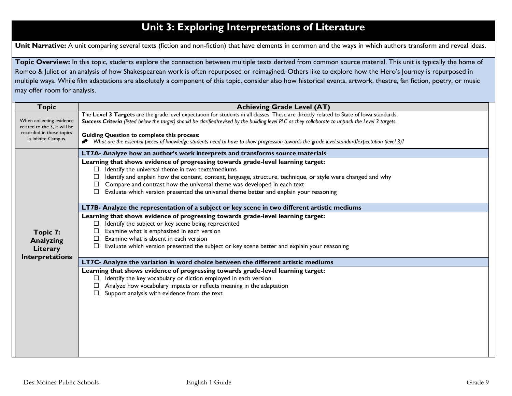# **Unit 3: Exploring Interpretations of Literature**

Unit Narrative: A unit comparing several texts (fiction and non-fiction) that have elements in common and the ways in which authors transform and reveal ideas.

Topic Overview: In this topic, students explore the connection between multiple texts derived from common source material. This unit is typically the home of Romeo & Juliet or an analysis of how Shakespearean work is often repurposed or reimagined. Others like to explore how the Hero's Journey is repurposed in multiple ways. While film adaptations are absolutely a component of this topic, consider also how historical events, artwork, theatre, fan fiction, poetry, or music may offer room for analysis.

| <b>Topic</b>                                                                         | <b>Achieving Grade Level (AT)</b>                                                                                                                                                                                                                                                                                                                   |
|--------------------------------------------------------------------------------------|-----------------------------------------------------------------------------------------------------------------------------------------------------------------------------------------------------------------------------------------------------------------------------------------------------------------------------------------------------|
| When collecting evidence<br>related to the 3, it will be<br>recorded in these topics | The Level 3 Targets are the grade level expectation for students in all classes. These are directly related to State of lowa standards.<br>Success Criteria (listed below the target) should be clarified/revised by the building level PLC as they collaborate to unpack the Level 3 targets.<br><b>Guiding Question to complete this process:</b> |
| in Infinite Campus.                                                                  | * What are the essential pieces of knowledge students need to have to show progression towards the grade level standard/expectation (level 3)?                                                                                                                                                                                                      |
|                                                                                      | LT7A- Analyze how an author's work interprets and transforms source materials                                                                                                                                                                                                                                                                       |
|                                                                                      | Learning that shows evidence of progressing towards grade-level learning target:                                                                                                                                                                                                                                                                    |
|                                                                                      | Identify the universal theme in two texts/mediums<br>$\Box$                                                                                                                                                                                                                                                                                         |
|                                                                                      | Identify and explain how the content, context, language, structure, technique, or style were changed and why<br>□                                                                                                                                                                                                                                   |
|                                                                                      | Compare and contrast how the universal theme was developed in each text<br>□<br>Evaluate which version presented the universal theme better and explain your reasoning                                                                                                                                                                              |
|                                                                                      |                                                                                                                                                                                                                                                                                                                                                     |
|                                                                                      | LT7B- Analyze the representation of a subject or key scene in two different artistic mediums                                                                                                                                                                                                                                                        |
| Learning that shows evidence of progressing towards grade-level learning target:     |                                                                                                                                                                                                                                                                                                                                                     |
|                                                                                      | Identify the subject or key scene being represented<br>□                                                                                                                                                                                                                                                                                            |
| Topic 7:                                                                             | Examine what is emphasized in each version<br>Examine what is absent in each version                                                                                                                                                                                                                                                                |
| <b>Analyzing</b>                                                                     | Evaluate which version presented the subject or key scene better and explain your reasoning                                                                                                                                                                                                                                                         |
| Literary                                                                             |                                                                                                                                                                                                                                                                                                                                                     |
| Interpretations                                                                      | LT7C- Analyze the variation in word choice between the different artistic mediums                                                                                                                                                                                                                                                                   |
|                                                                                      | Learning that shows evidence of progressing towards grade-level learning target:                                                                                                                                                                                                                                                                    |
|                                                                                      | Identify the key vocabulary or diction employed in each version<br>$\Box$                                                                                                                                                                                                                                                                           |
|                                                                                      | Analyze how vocabulary impacts or reflects meaning in the adaptation<br>$\Box$<br>Support analysis with evidence from the text                                                                                                                                                                                                                      |
|                                                                                      |                                                                                                                                                                                                                                                                                                                                                     |
|                                                                                      |                                                                                                                                                                                                                                                                                                                                                     |
|                                                                                      |                                                                                                                                                                                                                                                                                                                                                     |
|                                                                                      |                                                                                                                                                                                                                                                                                                                                                     |
|                                                                                      |                                                                                                                                                                                                                                                                                                                                                     |
|                                                                                      |                                                                                                                                                                                                                                                                                                                                                     |
|                                                                                      |                                                                                                                                                                                                                                                                                                                                                     |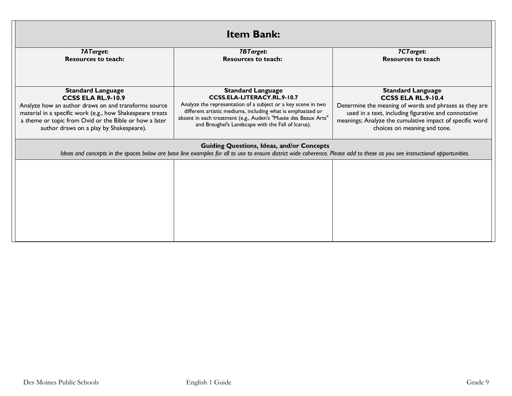| <b>Item Bank:</b>                                                                 |                                                                                                                                                                                                                                 |                                                                              |  |
|-----------------------------------------------------------------------------------|---------------------------------------------------------------------------------------------------------------------------------------------------------------------------------------------------------------------------------|------------------------------------------------------------------------------|--|
| 7ATarget:                                                                         | 7BTarget:                                                                                                                                                                                                                       | 7CTarget:                                                                    |  |
| <b>Resources to teach:</b>                                                        | <b>Resources to teach:</b>                                                                                                                                                                                                      | <b>Resources to teach</b>                                                    |  |
| <b>Standard Language</b>                                                          | <b>Standard Language</b>                                                                                                                                                                                                        | <b>Standard Language</b>                                                     |  |
| <b>CCSS ELA RL.9-10.9</b><br>Analyze how an author draws on and transforms source | CCSS.ELA-LITERACY.RL.9-10.7<br>Analyze the representation of a subject or a key scene in two                                                                                                                                    | CCSS ELA RL.9-10.4<br>Determine the meaning of words and phrases as they are |  |
| material in a specific work (e.g., how Shakespeare treats                         | different artistic mediums, including what is emphasized or                                                                                                                                                                     | used in a text, including figurative and connotative                         |  |
| a theme or topic from Ovid or the Bible or how a later                            | absent in each treatment (e.g., Auden's "Musée des Beaux Arts"<br>and Breughel's Landscape with the Fall of Icarus).                                                                                                            | meanings; Analyze the cumulative impact of specific word                     |  |
| author draws on a play by Shakespeare).                                           |                                                                                                                                                                                                                                 | choices on meaning and tone.                                                 |  |
|                                                                                   | <b>Guiding Questions, Ideas, and/or Concepts</b><br>Ideas and concepts in the spaces below are base line examples for all to use to ensure district wide coherence. Please add to these as you see instructional opportunities. |                                                                              |  |
|                                                                                   |                                                                                                                                                                                                                                 |                                                                              |  |
|                                                                                   |                                                                                                                                                                                                                                 |                                                                              |  |
|                                                                                   |                                                                                                                                                                                                                                 |                                                                              |  |
|                                                                                   |                                                                                                                                                                                                                                 |                                                                              |  |
|                                                                                   |                                                                                                                                                                                                                                 |                                                                              |  |
|                                                                                   |                                                                                                                                                                                                                                 |                                                                              |  |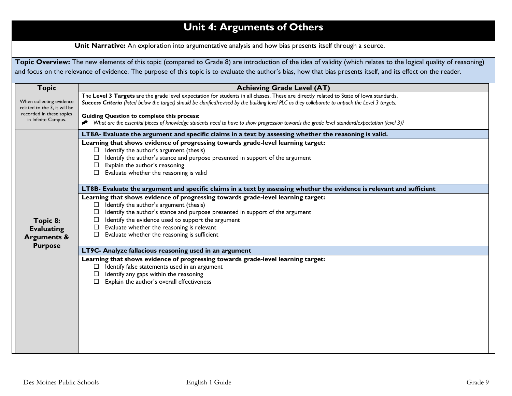# **Unit 4: Arguments of Others**

**Unit Narrative:** An exploration into argumentative analysis and how bias presents itself through a source.

Topic Overview: The new elements of this topic (compared to Grade 8) are introduction of the idea of validity (which relates to the logical quality of reasoning) and focus on the relevance of evidence. The purpose of this topic is to evaluate the author's bias, how that bias presents itself, and its effect on the reader.

| <b>Topic</b>                                                              | <b>Achieving Grade Level (AT)</b>                                                                                                                                                                                                                                                                                                                                                         |  |
|---------------------------------------------------------------------------|-------------------------------------------------------------------------------------------------------------------------------------------------------------------------------------------------------------------------------------------------------------------------------------------------------------------------------------------------------------------------------------------|--|
| When collecting evidence<br>related to the 3, it will be                  | The Level 3 Targets are the grade level expectation for students in all classes. These are directly related to State of lowa standards.<br>Success Criteria (listed below the target) should be clarified/revised by the building level PLC as they collaborate to unpack the Level 3 targets.                                                                                            |  |
| recorded in these topics<br>in Infinite Campus.                           | <b>Guiding Question to complete this process:</b><br>* What are the essential pieces of knowledge students need to have to show progression towards the grade level standard/expectation (level 3)?                                                                                                                                                                                       |  |
|                                                                           | LT8A- Evaluate the argument and specific claims in a text by assessing whether the reasoning is valid.                                                                                                                                                                                                                                                                                    |  |
|                                                                           | Learning that shows evidence of progressing towards grade-level learning target:<br>Identify the author's argument (thesis)<br>$\Box$<br>Identify the author's stance and purpose presented in support of the argument<br>Explain the author's reasoning<br>Evaluate whether the reasoning is valid                                                                                       |  |
|                                                                           | LT8B- Evaluate the argument and specific claims in a text by assessing whether the evidence is relevant and sufficient                                                                                                                                                                                                                                                                    |  |
| Topic 8:<br><b>Evaluating</b><br><b>Arguments &amp;</b><br><b>Purpose</b> | Learning that shows evidence of progressing towards grade-level learning target:<br>Identify the author's argument (thesis)<br>$\Box$<br>Identify the author's stance and purpose presented in support of the argument<br>Identify the evidence used to support the argument<br>Evaluate whether the reasoning is relevant<br>$\Box$<br>Evaluate whether the reasoning is sufficient<br>□ |  |
|                                                                           | LT9C- Analyze fallacious reasoning used in an argument                                                                                                                                                                                                                                                                                                                                    |  |
|                                                                           | Learning that shows evidence of progressing towards grade-level learning target:<br>Identify false statements used in an argument<br>Identify any gaps within the reasoning<br>$\Box$<br>Explain the author's overall effectiveness                                                                                                                                                       |  |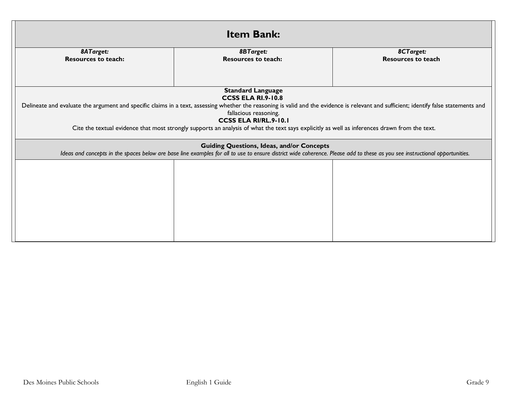| <b>Item Bank:</b>                       |                                                                                                                                                                                                                                 |                                        |  |
|-----------------------------------------|---------------------------------------------------------------------------------------------------------------------------------------------------------------------------------------------------------------------------------|----------------------------------------|--|
| 8ATarget:<br><b>Resources to teach:</b> | <b>8BTarget:</b><br><b>Resources to teach:</b>                                                                                                                                                                                  | 8CTarget:<br><b>Resources to teach</b> |  |
|                                         |                                                                                                                                                                                                                                 |                                        |  |
|                                         | <b>Standard Language</b><br><b>CCSS ELA RI.9-10.8</b>                                                                                                                                                                           |                                        |  |
|                                         | Delineate and evaluate the argument and specific claims in a text, assessing whether the reasoning is valid and the evidence is relevant and sufficient; identify false statements and<br>fallacious reasoning.                 |                                        |  |
|                                         | <b>CCSS ELA RI/RL.9-10.1</b><br>Cite the textual evidence that most strongly supports an analysis of what the text says explicitly as well as inferences drawn from the text.                                                   |                                        |  |
|                                         |                                                                                                                                                                                                                                 |                                        |  |
|                                         | <b>Guiding Questions, Ideas, and/or Concepts</b><br>Ideas and concepts in the spaces below are base line examples for all to use to ensure district wide coherence. Please add to these as you see instructional opportunities. |                                        |  |
|                                         |                                                                                                                                                                                                                                 |                                        |  |
|                                         |                                                                                                                                                                                                                                 |                                        |  |
|                                         |                                                                                                                                                                                                                                 |                                        |  |
|                                         |                                                                                                                                                                                                                                 |                                        |  |
|                                         |                                                                                                                                                                                                                                 |                                        |  |
|                                         |                                                                                                                                                                                                                                 |                                        |  |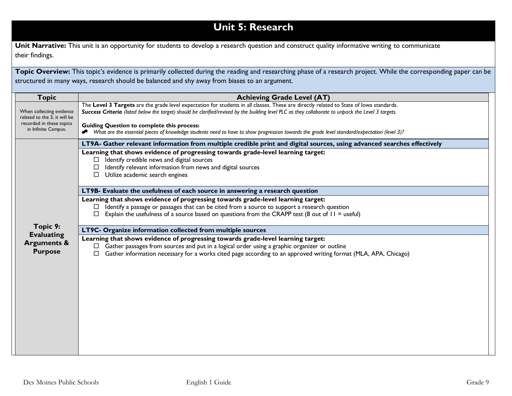# **Unit 5: Research**

Unit Narrative: This unit is an opportunity for students to develop a research question and construct quality informative writing to communicate their findings.

Topic Overview: This topic's evidence is primarily collected during the reading and researching phase of a research project. While the corresponding paper can be structured in many ways, research should be balanced and shy away from biases to an argument.

| <b>Topic</b>                                             | <b>Achieving Grade Level (AT)</b>                                                                                                                                                                                                                                                              |
|----------------------------------------------------------|------------------------------------------------------------------------------------------------------------------------------------------------------------------------------------------------------------------------------------------------------------------------------------------------|
| When collecting evidence<br>related to the 3, it will be | The Level 3 Targets are the grade level expectation for students in all classes. These are directly related to State of lowa standards.<br>Success Criteria (listed below the target) should be clarified/revised by the building level PLC as they collaborate to unpack the Level 3 targets. |
| recorded in these topics<br>in Infinite Campus.          | <b>Guiding Question to complete this process:</b><br>Nhat are the essential pieces of knowledge students need to have to show progression towards the grade level standard/expectation (level 3)?                                                                                              |
|                                                          | LT9A- Gather relevant information from multiple credible print and digital sources, using advanced searches effectively                                                                                                                                                                        |
|                                                          | Learning that shows evidence of progressing towards grade-level learning target:                                                                                                                                                                                                               |
|                                                          | Identify credible news and digital sources<br>□                                                                                                                                                                                                                                                |
|                                                          | Identify relevant information from news and digital sources<br>$\Box$<br>Utilize academic search engines<br>□                                                                                                                                                                                  |
|                                                          |                                                                                                                                                                                                                                                                                                |
|                                                          | LT9B- Evaluate the usefulness of each source in answering a research question                                                                                                                                                                                                                  |
|                                                          | Learning that shows evidence of progressing towards grade-level learning target:                                                                                                                                                                                                               |
|                                                          | Identify a passage or passages that can be cited from a source to support a research question<br>□                                                                                                                                                                                             |
|                                                          | Explain the usefulness of a source based on questions from the CRAPP test (8 out of $ 1 $ = useful)<br>$\Box$                                                                                                                                                                                  |
| Topic 9:                                                 | LT9C- Organize information collected from multiple sources                                                                                                                                                                                                                                     |
| <b>Evaluating</b><br><b>Arguments &amp;</b>              | Learning that shows evidence of progressing towards grade-level learning target:                                                                                                                                                                                                               |
| <b>Purpose</b>                                           | Gather passages from sources and put in a logical order using a graphic organizer or outline                                                                                                                                                                                                   |
|                                                          | Gather information necessary for a works cited page according to an approved writing format (MLA, APA, Chicago)<br>□                                                                                                                                                                           |
|                                                          |                                                                                                                                                                                                                                                                                                |
|                                                          |                                                                                                                                                                                                                                                                                                |
|                                                          |                                                                                                                                                                                                                                                                                                |
|                                                          |                                                                                                                                                                                                                                                                                                |
|                                                          |                                                                                                                                                                                                                                                                                                |
|                                                          |                                                                                                                                                                                                                                                                                                |
|                                                          |                                                                                                                                                                                                                                                                                                |
|                                                          |                                                                                                                                                                                                                                                                                                |
|                                                          |                                                                                                                                                                                                                                                                                                |
|                                                          |                                                                                                                                                                                                                                                                                                |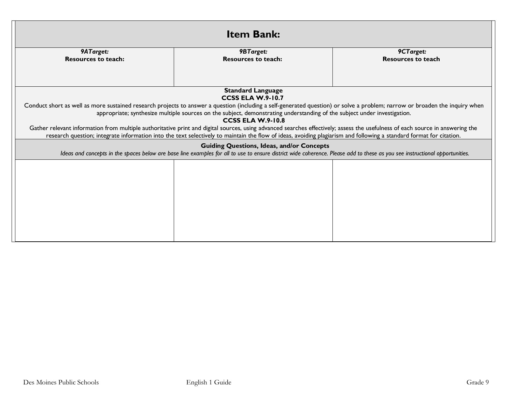| <b>Item Bank:</b>          |                                                                                                                                                                                                                                 |                           |  |
|----------------------------|---------------------------------------------------------------------------------------------------------------------------------------------------------------------------------------------------------------------------------|---------------------------|--|
| 9ATarget:                  | <b>9BTarget:</b>                                                                                                                                                                                                                | 9CTarget:                 |  |
| <b>Resources to teach:</b> | <b>Resources to teach:</b>                                                                                                                                                                                                      | <b>Resources to teach</b> |  |
|                            | <b>Standard Language</b><br><b>CCSS ELA W.9-10.7</b>                                                                                                                                                                            |                           |  |
|                            | Conduct short as well as more sustained research projects to answer a question (including a self-generated question) or solve a problem; narrow or broaden the inquiry when                                                     |                           |  |
|                            | appropriate; synthesize multiple sources on the subject, demonstrating understanding of the subject under investigation.                                                                                                        |                           |  |
|                            | <b>CCSS ELA W.9-10.8</b>                                                                                                                                                                                                        |                           |  |
|                            | Gather relevant information from multiple authoritative print and digital sources, using advanced searches effectively; assess the usefulness of each source in answering the                                                   |                           |  |
|                            | research question; integrate information into the text selectively to maintain the flow of ideas, avoiding plagiarism and following a standard format for citation.                                                             |                           |  |
|                            | <b>Guiding Questions, Ideas, and/or Concepts</b><br>Ideas and concepts in the spaces below are base line examples for all to use to ensure district wide coherence. Please add to these as you see instructional opportunities. |                           |  |
|                            |                                                                                                                                                                                                                                 |                           |  |
|                            |                                                                                                                                                                                                                                 |                           |  |
|                            |                                                                                                                                                                                                                                 |                           |  |
|                            |                                                                                                                                                                                                                                 |                           |  |
|                            |                                                                                                                                                                                                                                 |                           |  |
|                            |                                                                                                                                                                                                                                 |                           |  |
|                            |                                                                                                                                                                                                                                 |                           |  |
|                            |                                                                                                                                                                                                                                 |                           |  |
|                            |                                                                                                                                                                                                                                 |                           |  |
|                            |                                                                                                                                                                                                                                 |                           |  |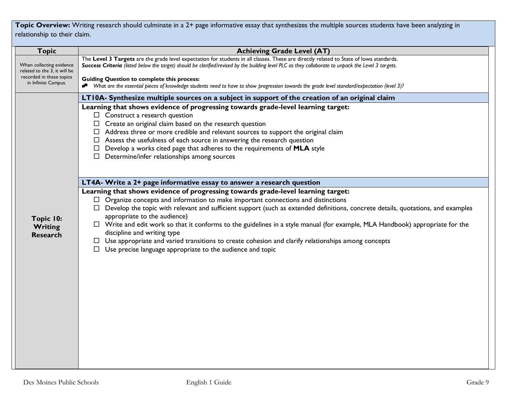**Topic Overview:** Writing research should culminate in a 2+ page informative essay that synthesizes the multiple sources students have been analyzing in relationship to their claim.

| <b>Topic</b>                                             | <b>Achieving Grade Level (AT)</b>                                                                                                                                                                                                                                                                                                                                                                                                                                                                                                                                                                                                                                                                        |
|----------------------------------------------------------|----------------------------------------------------------------------------------------------------------------------------------------------------------------------------------------------------------------------------------------------------------------------------------------------------------------------------------------------------------------------------------------------------------------------------------------------------------------------------------------------------------------------------------------------------------------------------------------------------------------------------------------------------------------------------------------------------------|
| When collecting evidence<br>related to the 3, it will be | The Level 3 Targets are the grade level expectation for students in all classes. These are directly related to State of lowa standards.<br>Success Criteria (listed below the target) should be clarified/revised by the building level PLC as they collaborate to unpack the Level 3 targets.                                                                                                                                                                                                                                                                                                                                                                                                           |
| recorded in these topics<br>in Infinite Campus.          | <b>Guiding Question to complete this process:</b><br>• What are the essential pieces of knowledge students need to have to show progression towards the grade level standard/expectation (level 3)?                                                                                                                                                                                                                                                                                                                                                                                                                                                                                                      |
|                                                          | LT10A- Synthesize multiple sources on a subject in support of the creation of an original claim                                                                                                                                                                                                                                                                                                                                                                                                                                                                                                                                                                                                          |
|                                                          | Learning that shows evidence of progressing towards grade-level learning target:<br>$\Box$ Construct a research question<br>$\Box$ Create an original claim based on the research question<br>$\Box$ Address three or more credible and relevant sources to support the original claim<br>$\Box$ Assess the usefulness of each source in answering the research question<br>Develop a works cited page that adheres to the requirements of MLA style<br>$\Box$ Determine/infer relationships among sources                                                                                                                                                                                               |
|                                                          | LT4A- Write a 2+ page informative essay to answer a research question                                                                                                                                                                                                                                                                                                                                                                                                                                                                                                                                                                                                                                    |
| Topic 10:<br>Writing<br><b>Research</b>                  | Learning that shows evidence of progressing towards grade-level learning target:<br>$\Box$ Organize concepts and information to make important connections and distinctions<br>□ Develop the topic with relevant and sufficient support (such as extended definitions, concrete details, quotations, and examples<br>appropriate to the audience)<br>$\Box$ Write and edit work so that it conforms to the guidelines in a style manual (for example, MLA Handbook) appropriate for the<br>discipline and writing type<br>$\Box$ Use appropriate and varied transitions to create cohesion and clarify relationships among concepts<br>$\Box$ Use precise language appropriate to the audience and topic |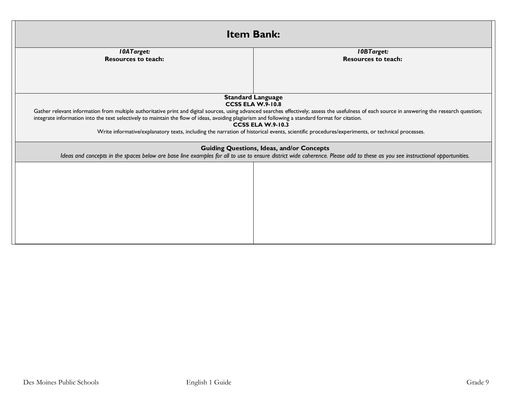| <b>Item Bank:</b>                                                                                                                                                                                                                                                                                                                                                                                                                                                                                                                 |                                                                                                                                                                                                                                 |  |
|-----------------------------------------------------------------------------------------------------------------------------------------------------------------------------------------------------------------------------------------------------------------------------------------------------------------------------------------------------------------------------------------------------------------------------------------------------------------------------------------------------------------------------------|---------------------------------------------------------------------------------------------------------------------------------------------------------------------------------------------------------------------------------|--|
| <b>10ATarget:</b>                                                                                                                                                                                                                                                                                                                                                                                                                                                                                                                 | <b>10BTarget:</b>                                                                                                                                                                                                               |  |
| <b>Resources to teach:</b>                                                                                                                                                                                                                                                                                                                                                                                                                                                                                                        | <b>Resources to teach:</b>                                                                                                                                                                                                      |  |
|                                                                                                                                                                                                                                                                                                                                                                                                                                                                                                                                   |                                                                                                                                                                                                                                 |  |
|                                                                                                                                                                                                                                                                                                                                                                                                                                                                                                                                   | <b>Standard Language</b><br><b>CCSS ELA W.9-10.8</b>                                                                                                                                                                            |  |
| Gather relevant information from multiple authoritative print and digital sources, using advanced searches effectively; assess the usefulness of each source in answering the research question;<br>integrate information into the text selectively to maintain the flow of ideas, avoiding plagiarism and following a standard format for citation.<br><b>CCSS ELA W.9-10.3</b><br>Write informative/explanatory texts, including the narration of historical events, scientific procedures/experiments, or technical processes. |                                                                                                                                                                                                                                 |  |
|                                                                                                                                                                                                                                                                                                                                                                                                                                                                                                                                   | <b>Guiding Questions, Ideas, and/or Concepts</b><br>Ideas and concepts in the spaces below are base line examples for all to use to ensure district wide coherence. Please add to these as you see instructional opportunities. |  |
|                                                                                                                                                                                                                                                                                                                                                                                                                                                                                                                                   |                                                                                                                                                                                                                                 |  |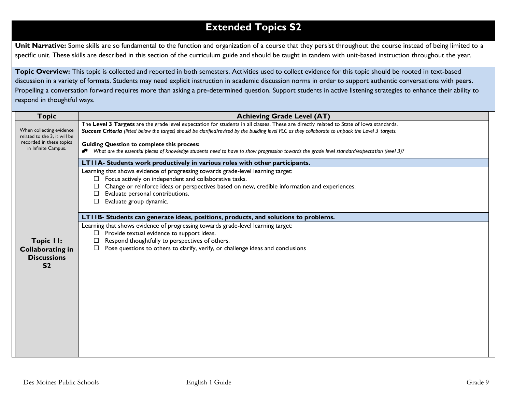# **Extended Topics S2**

Unit Narrative: Some skills are so fundamental to the function and organization of a course that they persist throughout the course instead of being limited to a specific unit. These skills are described in this section of the curriculum guide and should be taught in tandem with unit-based instruction throughout the year.

**Topic Overview:** This topic is collected and reported in both semesters. Activities used to collect evidence for this topic should be rooted in text-based discussion in a variety of formats. Students may need explicit instruction in academic discussion norms in order to support authentic conversations with peers. Propelling a conversation forward requires more than asking a pre-determined question. Support students in active listening strategies to enhance their ability to respond in thoughtful ways.

| <b>Topic</b>                                                                 | <b>Achieving Grade Level (AT)</b>                                                                                                                                                                                                                                                                                              |
|------------------------------------------------------------------------------|--------------------------------------------------------------------------------------------------------------------------------------------------------------------------------------------------------------------------------------------------------------------------------------------------------------------------------|
| When collecting evidence<br>related to the 3, it will be                     | The Level 3 Targets are the grade level expectation for students in all classes. These are directly related to State of lowa standards.<br>Success Criteria (listed below the target) should be clarified/revised by the building level PLC as they collaborate to unpack the Level 3 targets.                                 |
| recorded in these topics<br>in Infinite Campus.                              | <b>Guiding Question to complete this process:</b><br>Nhat are the essential pieces of knowledge students need to have to show progression towards the grade level standard/expectation (level 3)?                                                                                                                              |
|                                                                              | LTIIA- Students work productively in various roles with other participants.                                                                                                                                                                                                                                                    |
|                                                                              | Learning that shows evidence of progressing towards grade-level learning target:<br>Focus actively on independent and collaborative tasks.<br>$\Box$<br>Change or reinforce ideas or perspectives based on new, credible information and experiences.<br>Evaluate personal contributions.<br>Evaluate group dynamic.<br>$\Box$ |
|                                                                              | LTIIB- Students can generate ideas, positions, products, and solutions to problems.                                                                                                                                                                                                                                            |
| Topic II:<br><b>Collaborating in</b><br><b>Discussions</b><br>S <sub>2</sub> | Learning that shows evidence of progressing towards grade-level learning target:<br>Provide textual evidence to support ideas.<br>Respond thoughtfully to perspectives of others.<br>$\Box$<br>Pose questions to others to clarify, verify, or challenge ideas and conclusions                                                 |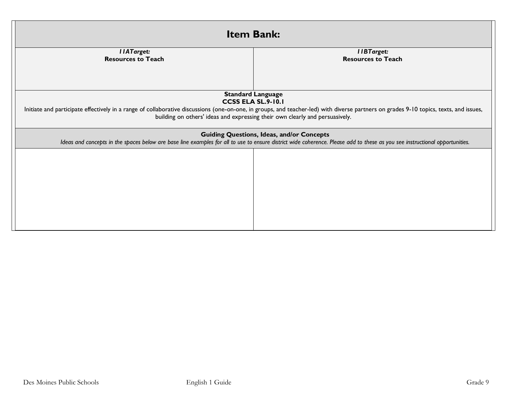| <b>Item Bank:</b>                                                                                                                                                                                                               |                                                                              |  |  |
|---------------------------------------------------------------------------------------------------------------------------------------------------------------------------------------------------------------------------------|------------------------------------------------------------------------------|--|--|
| <b>IIATarget:</b><br><b>Resources to Teach</b>                                                                                                                                                                                  | <b>IIBTarget:</b><br><b>Resources to Teach</b>                               |  |  |
|                                                                                                                                                                                                                                 | <b>Standard Language</b>                                                     |  |  |
| <b>CCSS ELA SL.9-10.1</b><br>Initiate and participate effectively in a range of collaborative discussions (one-on-one, in groups, and teacher-led) with diverse partners on grades 9-10 topics, texts, and issues,              |                                                                              |  |  |
|                                                                                                                                                                                                                                 | building on others' ideas and expressing their own clearly and persuasively. |  |  |
| <b>Guiding Questions, Ideas, and/or Concepts</b><br>Ideas and concepts in the spaces below are base line examples for all to use to ensure district wide coherence. Please add to these as you see instructional opportunities. |                                                                              |  |  |
|                                                                                                                                                                                                                                 |                                                                              |  |  |
|                                                                                                                                                                                                                                 |                                                                              |  |  |
|                                                                                                                                                                                                                                 |                                                                              |  |  |
|                                                                                                                                                                                                                                 |                                                                              |  |  |
|                                                                                                                                                                                                                                 |                                                                              |  |  |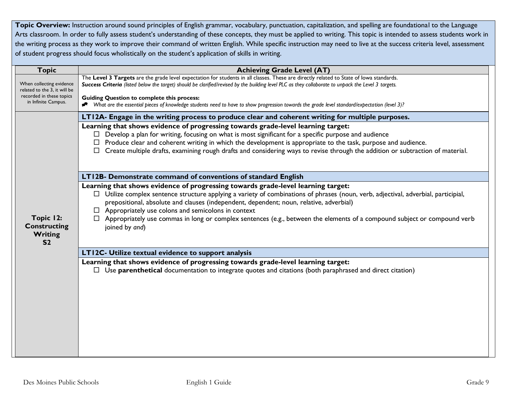Topic Overview: Instruction around sound principles of English grammar, vocabulary, punctuation, capitalization, and spelling are foundational to the Language Arts classroom. In order to fully assess student's understanding of these concepts, they must be applied to writing. This topic is intended to assess students work in the writing process as they work to improve their command of written English. While specific instruction may need to live at the success criteria level, assessment of student progress should focus wholistically on the student's application of skills in writing.

| <b>Topic</b>                                                  | <b>Achieving Grade Level (AT)</b>                                                                                                                                                                                                                                                                                                                                                                                                                                                                                                         |
|---------------------------------------------------------------|-------------------------------------------------------------------------------------------------------------------------------------------------------------------------------------------------------------------------------------------------------------------------------------------------------------------------------------------------------------------------------------------------------------------------------------------------------------------------------------------------------------------------------------------|
| When collecting evidence<br>related to the 3, it will be      | The Level 3 Targets are the grade level expectation for students in all classes. These are directly related to State of lowa standards.<br>Success Criteria (listed below the target) should be clarified/revised by the building level PLC as they collaborate to unpack the Level 3 targets.                                                                                                                                                                                                                                            |
| recorded in these topics<br>in Infinite Campus.               | <b>Guiding Question to complete this process:</b><br>* What are the essential pieces of knowledge students need to have to show progression towards the grade level standard/expectation (level 3)?                                                                                                                                                                                                                                                                                                                                       |
|                                                               | LT12A- Engage in the writing process to produce clear and coherent writing for multiple purposes.                                                                                                                                                                                                                                                                                                                                                                                                                                         |
|                                                               | Learning that shows evidence of progressing towards grade-level learning target:<br>Develop a plan for writing, focusing on what is most significant for a specific purpose and audience<br>Produce clear and coherent writing in which the development is appropriate to the task, purpose and audience.<br>$\Box$ Create multiple drafts, examining rough drafts and considering ways to revise through the addition or subtraction of material.                                                                                        |
|                                                               | LT12B- Demonstrate command of conventions of standard English                                                                                                                                                                                                                                                                                                                                                                                                                                                                             |
| Topic 12:<br><b>Constructing</b><br>Writing<br>S <sub>2</sub> | Learning that shows evidence of progressing towards grade-level learning target:<br>$\Box$ Utilize complex sentence structure applying a variety of combinations of phrases (noun, verb, adjectival, adverbial, participial,<br>prepositional, absolute and clauses (independent, dependent; noun, relative, adverbial)<br>$\Box$ Appropriately use colons and semicolons in context<br>$\Box$ Appropriately use commas in long or complex sentences (e.g., between the elements of a compound subject or compound verb<br>joined by and) |
|                                                               | LT12C- Utilize textual evidence to support analysis                                                                                                                                                                                                                                                                                                                                                                                                                                                                                       |
|                                                               | Learning that shows evidence of progressing towards grade-level learning target:                                                                                                                                                                                                                                                                                                                                                                                                                                                          |
|                                                               | $\Box$ Use <b>parenthetical</b> documentation to integrate quotes and citations (both paraphrased and direct citation)                                                                                                                                                                                                                                                                                                                                                                                                                    |